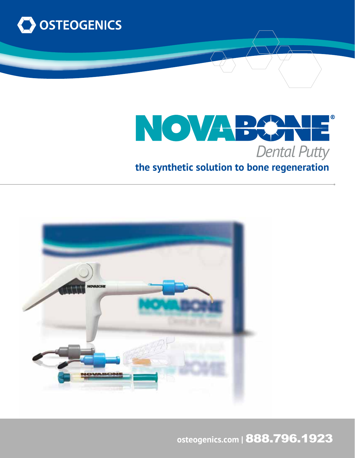



# **the synthetic solution to bone regeneration**



**osteogenics.com |** 888.796.1923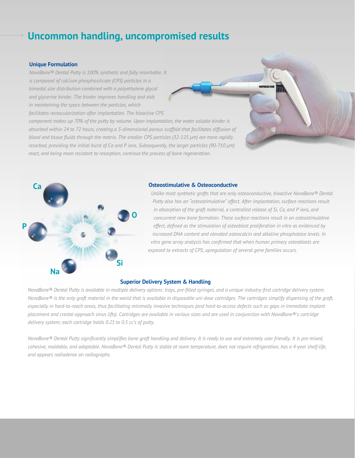## **Uncommon handling, uncompromised results**

### **Unique Formulation**

*NovaBone® Dental Putty is 100% synthetic and fully resorbable. It is composed of calcium phosphosilicate (CPS) particles in a bimodal size distribution combined with a polyethylene glycol and glycerine binder. The binder improves handling and aids in maintaining the space between the particles, which facilitates revascularization after implantation. The bioactive CPS* 

*component makes up 70% of the putty by volume. Upon implantation, the water soluble binder is absorbed within 24 to 72 hours, creating a 3-dimensional porous scaffold that facilitates diffusion of blood and tissue fluids through the matrix. The smaller CPS particles (32-125 µm) are more rapidly resorbed, providing the initial burst of Ca and P ions. Subsequently, the larger particles (90-710 µm) react, and being more resistant to resorption, continue the process of bone regeneration.* 



#### **Osteostimulative & Osteoconductive**

*Unlike most synthetic grafts that are only osteoconductive, bioactive NovaBone® Dental Putty also has an "osteostimulative" effect. After implantation, surface reactions result in absorption of the graft material, a controlled release of Si, Ca, and P ions, and concurrent new bone formation. These surface reactions result in an osteostimulative effect, defined as the stimulation of osteoblast proliferation in vitro as evidenced by increased DNA content and elevated osteocalcin and alkaline phosphatase levels. In vitro gene array analysis has confirmed that when human primary osteoblasts are exposed to extracts of CPS, upregulation of several gene families occurs.*

#### **Superior Delivery System & Handling**

*NovaBone® Dental Putty is available in multiple delivery options: trays, pre-filled syringes, and a unique industry-first cartridge delivery system. NovaBone® is the only graft material in the world that is available in disposable uni-dose cartridges. The cartridges simplify dispensing of the graft, especially in hard-to-reach areas, thus facilitating minimally invasive techniques (and hard-to-access defects such as gaps in immediate implant placement and crestal-approach sinus lifts). Cartridges are available in various sizes and are used in conjunction with NovaBone®'s cartridge delivery system; each cartridge holds 0.25 to 0.5 cc's of putty.*

*NovaBone® Dental Putty significantly simplifies bone graft handling and delivery. It is ready to use and extremely user friendly. It is pre-mixed, cohesive, moldable, and adaptable. NovaBone® Dental Putty is stable at room temperature, does not require refrigeration, has a 4-year shelf-life, and appears radiodense on radiographs.*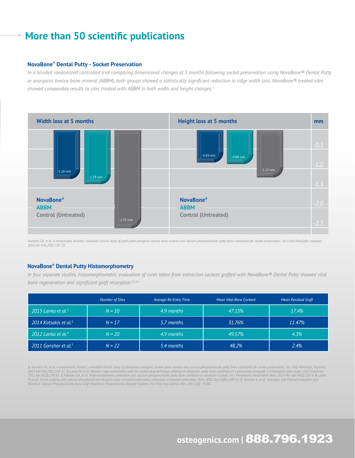### **More than 50 scientific publications**

#### **NovaBone® Dental Putty - Socket Preservation**

*In a blinded randomized controlled trial comparing dimensional changes at 5 months following socket preservation using NovaBone® Dental Putty or anorganic bovine bone mineral (ABBM), both groups showed a statistically significant reduction in ridge width loss. NovaBone® treated sites showed comparable results to sites treated with ABBM in both width and height changes.1*



Kotsakis GA, et al. A randomized, blinded, controlled clinical study of particulate anorganic bovine bone mineral and calcium phosphosilicate putty bone substitutes for socket preservation. Int J Oral Maxillofac Implants. *2014 Jan-Feb;29(1):141-51.*

### **NovaBone® Dental Putty Histomorphometry**

*In four separate studies, histomorphometric evaluation of cores taken from extraction sockets grafted with NovaBone® Dental Putty showed vital bone regeneration and significant graft resorption.2,3,4,5*

|                                   | <b>Number of Sites</b> | <b>Average Re-Entry Time</b> | Mean Vital Bone Content | <b>Mean Residual Graft</b> |
|-----------------------------------|------------------------|------------------------------|-------------------------|----------------------------|
| 2015 Lanka et al. <sup>2</sup>    | $N = 10$               | 4.9 months                   | 47.15%                  | 17.4%                      |
| 2014 Kotsakis et al. <sup>3</sup> | $N = 17$               | 5.7 months                   | 31.76%                  | 11.47%                     |
| 2012 Lanka et al. <sup>4</sup>    | $N = 20$               | 4.9 months                   | 49.57%                  | 4.3%                       |
| 2011 Gonshor et al. <sup>5</sup>  | $N = 22$               | 5.4 months                   | 48.2%                   | 2.4%                       |

1. Kotsakis GA, et al. A randomized, blinded, controlled clinical study of particulate anorganic bovine bone mineral and calcium phosphosilicate putty bone substitutes for socket preservation. Int J Oral Maxillofac Implant 2014 Jan-Feb;29(1):141-51. **2.** Lanka M, et al. Alveolar ridge preservation with the socket-plug technique utilizing an alloplastic putty bone substitute or a particulate xenograft: a histological pilot study. J Oral Impla M, et al. Socket grafting with calcium phosphosilicate alloplast putty: a histomorphometric evaluation. Compend Contin Educ Dent. 2012 Sep;33(8):e109-15. 5. Gonshor A, et al. Histologic and Clinical Evaluation of a *Bioactive Calcium Phosphosilicate Bone Graft Material in Postextraction Alveolar Sockets. Int J Oral Imp and Clin Res. 2011;2(2): 79-84.* 

# **osteogenics.com |** 888.796.1923